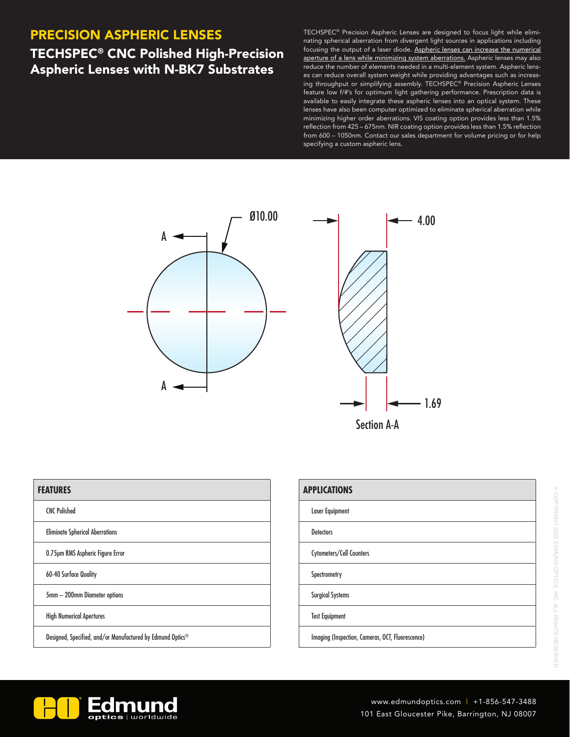### PRECISION ASPHERIC LENSES

## TECHSPEC® CNC Polished High-Precision Aspheric Lenses with N-BK7 Substrates

TECHSPEC® Precision Aspheric Lenses are designed to focus light while eliminating spherical aberration from divergent light sources in applications including focusing the output of a laser diode. Aspheric lenses can increase the numerical aperture of a lens while minimizing system aberrations. Aspheric lenses may also reduce the number of elements needed in a multi-element system. Aspheric lenses can reduce overall system weight while providing advantages such as increasing throughput or simplifying assembly. TECHSPEC® Precision Aspheric Lenses feature low f/#'s for optimum light gathering performance. Prescription data is available to easily integrate these aspheric lenses into an optical system. These lenses have also been computer optimized to eliminate spherical aberration while minimizing higher order aberrations. VIS coating option provides less than 1.5% reflection from 425 – 675nm. NIR coating option provides less than 1.5% reflection from 600 – 1050nm. Contact our sales department for volume pricing or for help specifying a custom aspheric lens.



| <b>FEATURES</b>                                            |
|------------------------------------------------------------|
| <b>CNC Polished</b>                                        |
| <b>Eliminate Spherical Aberrations</b>                     |
| 0.75µm RMS Aspheric Figure Error                           |
| <b>60-40 Surface Quality</b>                               |
| 5mm - 200mm Diameter options                               |
| <b>High Numerical Apertures</b>                            |
| Designed, Specified, and/or Manufactured by Edmund Optics® |

| <b>APPLICATIONS</b>                              |
|--------------------------------------------------|
| <b>Laser Equipment</b>                           |
| <b>Detectors</b>                                 |
| Cytometers/Cell Counters                         |
| Spectrometry                                     |
| <b>Surgical Systems</b>                          |
| <b>Test Equipment</b>                            |
| Imaging (Inspection, Cameras, OCT, Fluorescence) |